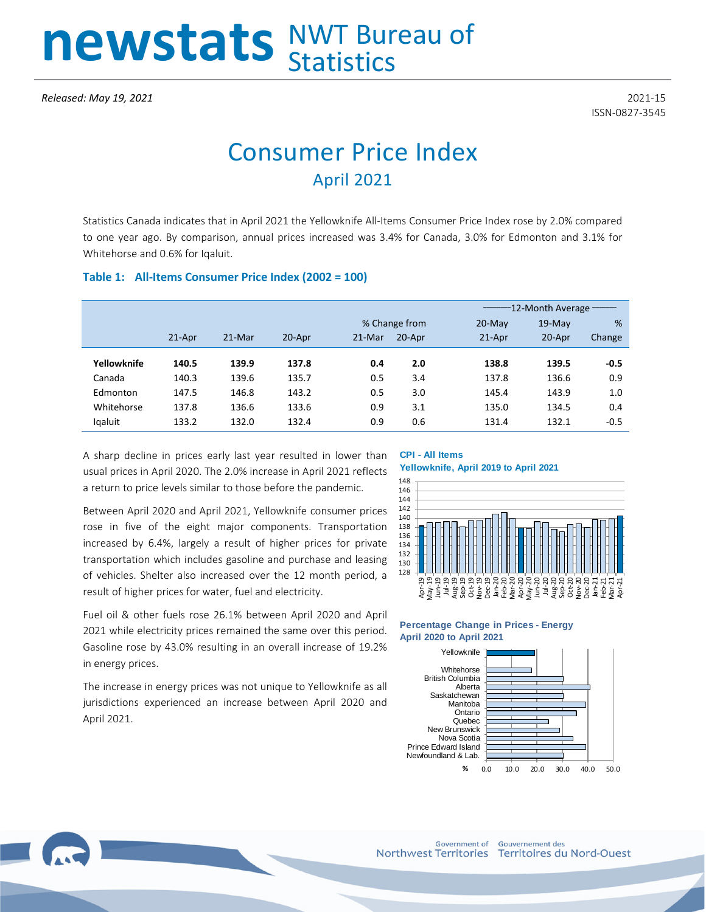# newstats NWT Bureau of

ISSN-0827-3545

# Consumer Price Index April 2021

Statistics Canada indicates that in April 2021 the Yellowknife All-Items Consumer Price Index rose by 2.0% compared to one year ago. By comparison, annual prices increased was 3.4% for Canada, 3.0% for Edmonton and 3.1% for Whitehorse and 0.6% for Iqaluit.

### **Table 1: All-Items Consumer Price Index (2002 = 100)**

|             |          |        |        |               |        | 12-Month Average |          |        |  |
|-------------|----------|--------|--------|---------------|--------|------------------|----------|--------|--|
|             |          |        |        | % Change from |        | $20$ -May        | $19-Mav$ | %      |  |
|             | $21-Apr$ | 21-Mar | 20-Apr | 21-Mar        | 20-Apr | $21-Apr$         | 20-Apr   | Change |  |
|             |          |        |        |               |        |                  |          |        |  |
| Yellowknife | 140.5    | 139.9  | 137.8  | 0.4           | 2.0    | 138.8            | 139.5    | -0.5   |  |
| Canada      | 140.3    | 139.6  | 135.7  | 0.5           | 3.4    | 137.8            | 136.6    | 0.9    |  |
| Edmonton    | 147.5    | 146.8  | 143.2  | 0.5           | 3.0    | 145.4            | 143.9    | 1.0    |  |
| Whitehorse  | 137.8    | 136.6  | 133.6  | 0.9           | 3.1    | 135.0            | 134.5    | 0.4    |  |
| Igaluit     | 133.2    | 132.0  | 132.4  | 0.9           | 0.6    | 131.4            | 132.1    | $-0.5$ |  |

A sharp decline in prices early last year resulted in lower than usual prices in April 2020. The 2.0% increase in April 2021 reflects a return to price levels similar to those before the pandemic.

Between April 2020 and April 2021, Yellowknife consumer prices rose in five of the eight major components. Transportation increased by 6.4%, largely a result of higher prices for private transportation which includes gasoline and purchase and leasing of vehicles. Shelter also increased over the 12 month period, a result of higher prices for water, fuel and electricity.

Fuel oil & other fuels rose 26.1% between April 2020 and April 2021 while electricity prices remained the same over this period. Gasoline rose by 43.0% resulting in an overall increase of 19.2% in energy prices.

The increase in energy prices was not unique to Yellowknife as all jurisdictions experienced an increase between April 2020 and April 2021.

# **CPI - All Items**





#### **Percentage Change in Prices - Energy April 2020 to April 2021**